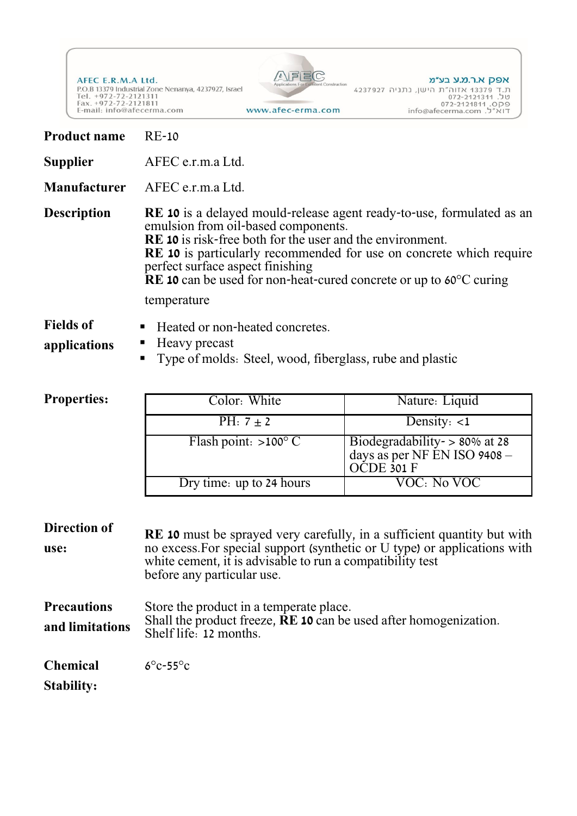AFEC E.R.M.A Ltd.<br>P.O.B 13379 Industrial Zone Nenanya, 4237927, Israel<br>Tel. +972-72-2121311<br>Fax. +972-72-2121811<br>E-mail: info@afecerma.com



אפק א.ר.מ.ע בע״מ

www.afec-erma.com

| <b>Product name</b>                   | <b>RE-10</b>                                                                                                                                                                                                                                                                                                                                                                                               |                                                                             |  |
|---------------------------------------|------------------------------------------------------------------------------------------------------------------------------------------------------------------------------------------------------------------------------------------------------------------------------------------------------------------------------------------------------------------------------------------------------------|-----------------------------------------------------------------------------|--|
| <b>Supplier</b>                       | AFEC e.r.m.a Ltd.                                                                                                                                                                                                                                                                                                                                                                                          |                                                                             |  |
| Manufacturer                          | AFEC e.r.m.a Ltd.                                                                                                                                                                                                                                                                                                                                                                                          |                                                                             |  |
| <b>Description</b>                    | <b>RE 10</b> is a delayed mould-release agent ready-to-use, formulated as an<br>emulsion from oil-based components.<br><b>RE 10</b> is risk-free both for the user and the environment.<br><b>RE 10</b> is particularly recommended for use on concrete which require<br>perfect surface aspect finishing<br>$RE 10$ can be used for non-heat-cured concrete or up to $60^{\circ}$ C curing<br>temperature |                                                                             |  |
| <b>Fields of</b><br>applications      | Heated or non-heated concretes.<br>ш<br>Heavy precast<br>Type of molds: Steel, wood, fiberglass, rube and plastic<br>п                                                                                                                                                                                                                                                                                     |                                                                             |  |
| <b>Properties:</b>                    | Color: White                                                                                                                                                                                                                                                                                                                                                                                               | Nature: Liquid                                                              |  |
|                                       | PH: $7 \pm 2$                                                                                                                                                                                                                                                                                                                                                                                              | Density: $<1$                                                               |  |
|                                       | Flash point: $>100^{\circ}$ C                                                                                                                                                                                                                                                                                                                                                                              | Biodegradability -> 80% at 28<br>days as per NF EN ISO 9408 -<br>OCDE 301 F |  |
|                                       | Dry time: up to 24 hours                                                                                                                                                                                                                                                                                                                                                                                   | <b>VOC: No VOC</b>                                                          |  |
| <b>Direction of</b><br>use:           | <b>RE</b> 10 must be sprayed very carefully, in a sufficient quantity but with<br>no excess. For special support (synthetic or U type) or applications with<br>white cement, it is advisable to run a compatibility test<br>before any particular use.                                                                                                                                                     |                                                                             |  |
| <b>Precautions</b><br>and limitations | Store the product in a temperate place.<br>Shall the product freeze, <b>RE 10</b> can be used after homogenization.<br>Shelf life: 12 months.                                                                                                                                                                                                                                                              |                                                                             |  |
| <b>Chemical</b><br><b>Stability:</b>  | $6^{\circ}$ c-55 $^{\circ}$ c                                                                                                                                                                                                                                                                                                                                                                              |                                                                             |  |